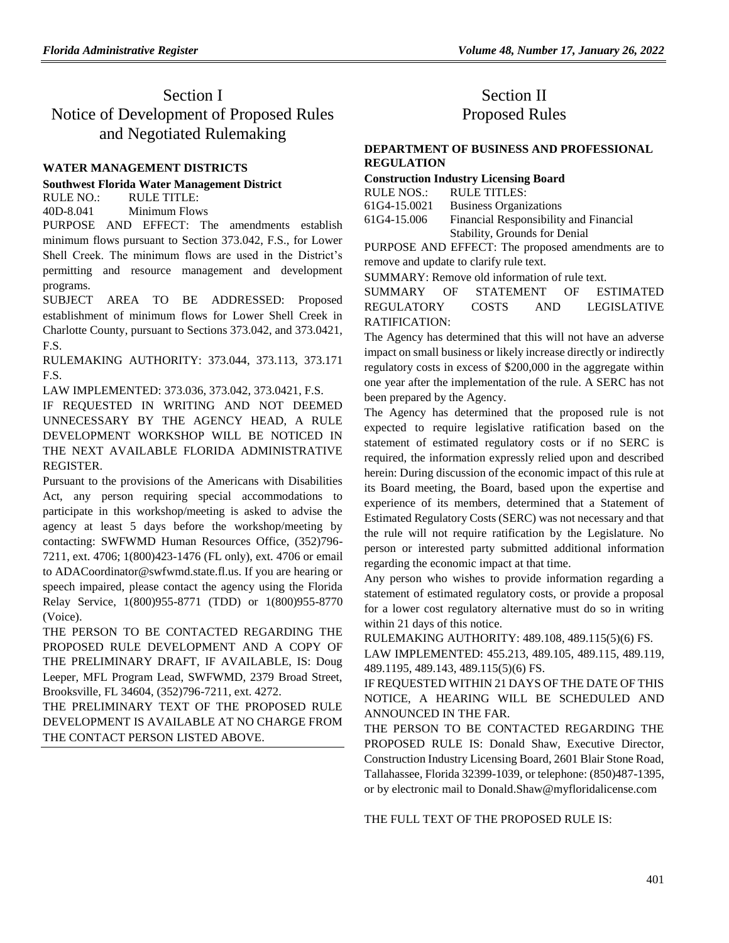# Section I Notice of Development of Proposed Rules and Negotiated Rulemaking

### **[WATER MANAGEMENT DISTRICTS](https://www.flrules.org/gateway/department.asp?id=40)**

#### **[Southwest Florida Water Management District](https://www.flrules.org/gateway/organization.asp?id=123)**

RULE NO.: RULE TITLE:

[40D-8.041](https://www.flrules.org/gateway/ruleNo.asp?id=40D-8.041) Minimum Flows

PURPOSE AND EFFECT: The amendments establish minimum flows pursuant to Section 373.042, F.S., for Lower Shell Creek. The minimum flows are used in the District's permitting and resource management and development programs.

SUBJECT AREA TO BE ADDRESSED: Proposed establishment of minimum flows for Lower Shell Creek in Charlotte County, pursuant to Sections 373.042, and 373.0421, F.S.

RULEMAKING AUTHORITY: [373.044,](https://www.flrules.org/gateway/statute.asp?id=373.044) [373.113,](https://www.flrules.org/gateway/statute.asp?id=%20373.113) [373.171](https://www.flrules.org/gateway/statute.asp?id=%20373.171%20F.S.)  [F.S.](https://www.flrules.org/gateway/statute.asp?id=%20373.171%20F.S.)

LAW IMPLEMENTED: [373.036,](https://www.flrules.org/gateway/statute.asp?id=373.036) [373.042,](https://www.flrules.org/gateway/statute.asp?id=%20373.042) [373.0421,](https://www.flrules.org/gateway/statute.asp?id=%20373.0421) F.S.

IF REQUESTED IN WRITING AND NOT DEEMED UNNECESSARY BY THE AGENCY HEAD, A RULE DEVELOPMENT WORKSHOP WILL BE NOTICED IN THE NEXT AVAILABLE FLORIDA ADMINISTRATIVE REGISTER.

Pursuant to the provisions of the Americans with Disabilities Act, any person requiring special accommodations to participate in this workshop/meeting is asked to advise the agency at least 5 days before the workshop/meeting by contacting: SWFWMD Human Resources Office, (352)796- 7211, ext. 4706; 1(800)423-1476 (FL only), ext. 4706 or email to ADACoordinator@swfwmd.state.fl.us. If you are hearing or speech impaired, please contact the agency using the Florida Relay Service, 1(800)955-8771 (TDD) or 1(800)955-8770 (Voice).

THE PERSON TO BE CONTACTED REGARDING THE PROPOSED RULE DEVELOPMENT AND A COPY OF THE PRELIMINARY DRAFT, IF AVAILABLE, IS: Doug Leeper, MFL Program Lead, SWFWMD, 2379 Broad Street, Brooksville, FL 34604, (352)796-7211, ext. 4272.

THE PRELIMINARY TEXT OF THE PROPOSED RULE DEVELOPMENT IS AVAILABLE AT NO CHARGE FROM THE CONTACT PERSON LISTED ABOVE.

## Section II Proposed Rules

### **[DEPARTMENT OF BUSINESS AND PROFESSIONAL](https://www.flrules.org/gateway/department.asp?id=61)  [REGULATION](https://www.flrules.org/gateway/department.asp?id=61)**

## **[Construction Industry Licensing Board](https://www.flrules.org/gateway/organization.asp?id=274)**

| RULE NOS.:   | RULE TITLES:                           |
|--------------|----------------------------------------|
| 61G4-15.0021 | <b>Business Organizations</b>          |
| 61G4-15.006  | Financial Responsibility and Financial |
|              | Stability, Grounds for Denial          |

PURPOSE AND EFFECT: The proposed amendments are to remove and update to clarify rule text.

SUMMARY: Remove old information of rule text.

SUMMARY OF STATEMENT OF ESTIMATED REGULATORY COSTS AND LEGISLATIVE RATIFICATION:

The Agency has determined that this will not have an adverse impact on small business or likely increase directly or indirectly regulatory costs in excess of \$200,000 in the aggregate within one year after the implementation of the rule. A SERC has not been prepared by the Agency.

The Agency has determined that the proposed rule is not expected to require legislative ratification based on the statement of estimated regulatory costs or if no SERC is required, the information expressly relied upon and described herein: During discussion of the economic impact of this rule at its Board meeting, the Board, based upon the expertise and experience of its members, determined that a Statement of Estimated Regulatory Costs (SERC) was not necessary and that the rule will not require ratification by the Legislature. No person or interested party submitted additional information regarding the economic impact at that time.

Any person who wishes to provide information regarding a statement of estimated regulatory costs, or provide a proposal for a lower cost regulatory alternative must do so in writing within 21 days of this notice.

RULEMAKING AUTHORITY: [489.108,](https://www.flrules.org/gateway/statute.asp?id=489.108) [489.115\(5\)\(6\) FS.](https://www.flrules.org/gateway/statute.asp?id=%20489.115(5)(6)%20FS.)

LAW IMPLEMENTED: [455.213,](https://www.flrules.org/gateway/statute.asp?id=455.213) [489.105,](https://www.flrules.org/gateway/statute.asp?id=%20489.105) [489.115,](https://www.flrules.org/gateway/statute.asp?id=%20489.115) [489.119,](https://www.flrules.org/gateway/statute.asp?id=%20489.119) [489.1195,](https://www.flrules.org/gateway/statute.asp?id=%20489.1195) [489.143,](https://www.flrules.org/gateway/statute.asp?id=%20489.143) [489.115\(5\)\(6\) FS.](https://www.flrules.org/gateway/statute.asp?id=%20489.115(5)(6)%20FS.)

IF REQUESTED WITHIN 21 DAYS OF THE DATE OF THIS NOTICE, A HEARING WILL BE SCHEDULED AND ANNOUNCED IN THE FAR.

THE PERSON TO BE CONTACTED REGARDING THE PROPOSED RULE IS: Donald Shaw, Executive Director, Construction Industry Licensing Board, 2601 Blair Stone Road, Tallahassee, Florida 32399-1039, or telephone: (850)487-1395, or by electronic mail to Donald.Shaw@myfloridalicense.com

THE FULL TEXT OF THE PROPOSED RULE IS: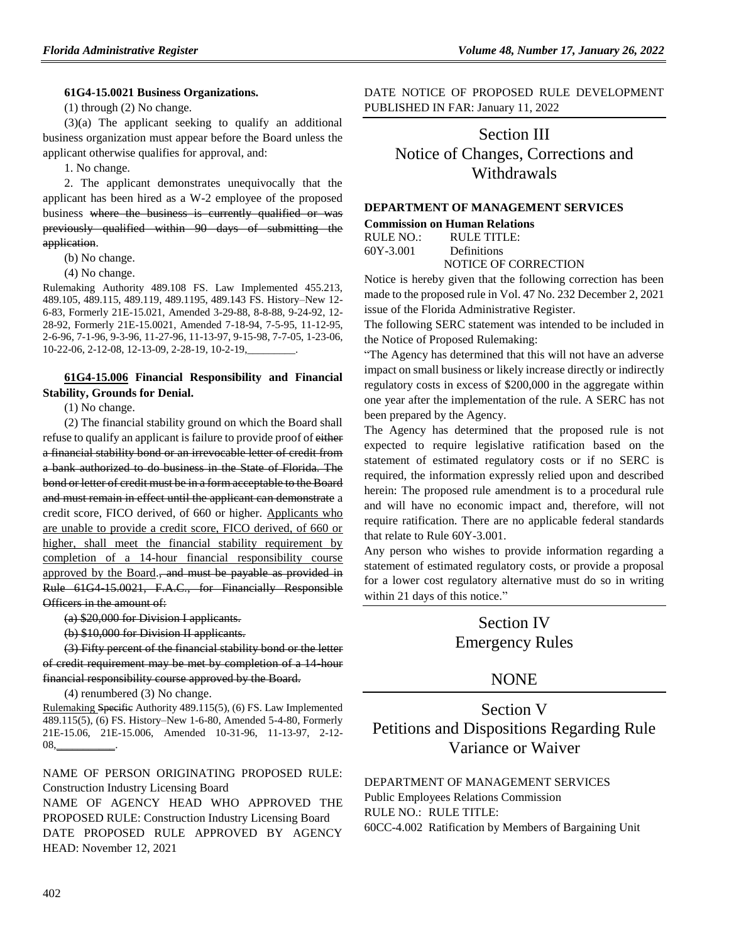#### **61G4-15.0021 Business Organizations.**

(1) through (2) No change.

(3)(a) The applicant seeking to qualify an additional business organization must appear before the Board unless the applicant otherwise qualifies for approval, and:

1. No change.

2. The applicant demonstrates unequivocally that the applicant has been hired as a W-2 employee of the proposed business where the business is currently qualified or was previously qualified within 90 days of submitting the application.

(b) No change.

(4) No change.

Rulemaking Authority 489.108 FS. Law Implemented 455.213, 489.105, 489.115, 489.119, 489.1195, 489.143 FS. History–New 12- 6-83, Formerly 21E-15.021, Amended 3-29-88, 8-8-88, 9-24-92, 12- 28-92, Formerly 21E-15.0021, Amended 7-18-94, 7-5-95, 11-12-95, 2-6-96, 7-1-96, 9-3-96, 11-27-96, 11-13-97, 9-15-98, 7-7-05, 1-23-06, 10-22-06, 2-12-08, 12-13-09, 2-28-19, 10-2-19,\_\_\_\_\_\_\_\_\_.

### **[61G4-15.006](https://www.flrules.org/gateway/ruleNo.asp?id=61G4-15.006) Financial Responsibility and Financial Stability, Grounds for Denial.**

(1) No change.

(2) The financial stability ground on which the Board shall refuse to qualify an applicant is failure to provide proof of either a financial stability bond or an irrevocable letter of credit from a bank authorized to do business in the State of Florida. The bond or letter of credit must be in a form acceptable to the Board and must remain in effect until the applicant can demonstrate a credit score, FICO derived, of 660 or higher. Applicants who are unable to provide a credit score, FICO derived, of 660 or higher, shall meet the financial stability requirement by completion of a 14-hour financial responsibility course approved by the Board., and must be payable as provided in Rule 61G4-15.0021, F.A.C., for Financially Responsible Officers in the amount of:

(a) \$20,000 for Division I applicants.

(b) \$10,000 for Division II applicants.

(3) Fifty percent of the financial stability bond or the letter of credit requirement may be met by completion of a 14-hour financial responsibility course approved by the Board.

(4) renumbered (3) No change.

Rulemaking Specific Authority 489.115(5), (6) FS. Law Implemented 489.115(5), (6) FS. History–New 1-6-80, Amended 5-4-80, Formerly 21E-15.06, 21E-15.006, Amended 10-31-96, 11-13-97, 2-12- 08,\_\_\_\_\_\_\_\_\_\_\_.

NAME OF PERSON ORIGINATING PROPOSED RULE: Construction Industry Licensing Board NAME OF AGENCY HEAD WHO APPROVED THE PROPOSED RULE: Construction Industry Licensing Board

DATE PROPOSED RULE APPROVED BY AGENCY HEAD: November 12, 2021

DATE NOTICE OF PROPOSED RULE DEVELOPMENT PUBLISHED IN FAR: January 11, 2022

# Section III Notice of Changes, Corrections and Withdrawals

#### **[DEPARTMENT OF MANAGEMENT SERVICES](https://www.flrules.org/gateway/department.asp?id=60)**

**[Commission on Human Relations](https://www.flrules.org/gateway/organization.asp?id=245)**

RULE NO.: RULE TITLE: [60Y-3.001](https://www.flrules.org/gateway/ruleNo.asp?id=60Y-3.001) Definitions

NOTICE OF CORRECTION

Notice is hereby given that the following correction has been made to the proposed rule in Vol. 47 No. 232 December 2, 2021 issue of the Florida Administrative Register.

The following SERC statement was intended to be included in the Notice of Proposed Rulemaking:

"The Agency has determined that this will not have an adverse impact on small business or likely increase directly or indirectly regulatory costs in excess of \$200,000 in the aggregate within one year after the implementation of the rule. A SERC has not been prepared by the Agency.

The Agency has determined that the proposed rule is not expected to require legislative ratification based on the statement of estimated regulatory costs or if no SERC is required, the information expressly relied upon and described herein: The proposed rule amendment is to a procedural rule and will have no economic impact and, therefore, will not require ratification. There are no applicable federal standards that relate to Rule 60Y-3.001.

Any person who wishes to provide information regarding a statement of estimated regulatory costs, or provide a proposal for a lower cost regulatory alternative must do so in writing within 21 days of this notice."

> Section IV Emergency Rules

## NONE

# Section V Petitions and Dispositions Regarding Rule Variance or Waiver

#### [DEPARTMENT OF MANAGEMENT SERVICES](https://www.flrules.org/gateway/department.asp?id=60)

[Public Employees Relations Commission](https://www.flrules.org/gateway/organization.asp?id=502)

RULE NO.: RULE TITLE:

[60CC-4.002](https://www.flrules.org/gateway/ruleNo.asp?id=60CC-4.002) Ratification by Members of Bargaining Unit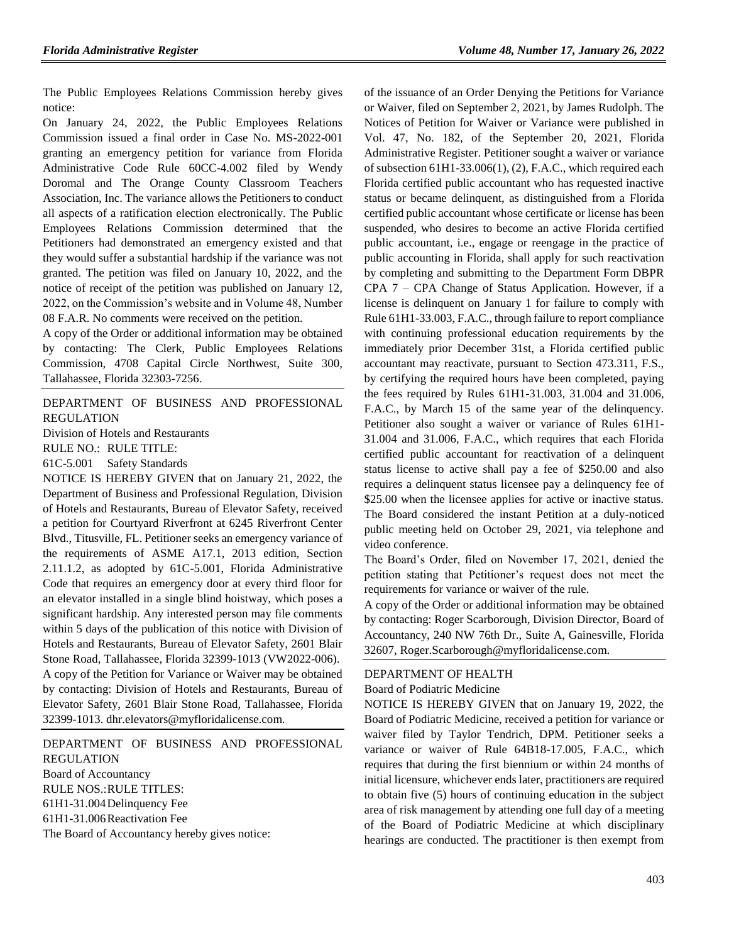The Public Employees Relations Commission hereby gives notice:

On January 24, 2022, the Public Employees Relations Commission issued a final order in Case No. MS-2022-001 granting an emergency petition for variance from Florida Administrative Code Rule 60CC-4.002 filed by Wendy Doromal and The Orange County Classroom Teachers Association, Inc. The variance allows the Petitioners to conduct all aspects of a ratification election electronically. The Public Employees Relations Commission determined that the Petitioners had demonstrated an emergency existed and that they would suffer a substantial hardship if the variance was not granted. The petition was filed on January 10, 2022, and the notice of receipt of the petition was published on January 12, 2022, on the Commission's website and in Volume 48, Number 08 F.A.R. No comments were received on the petition.

A copy of the Order or additional information may be obtained by contacting: The Clerk, Public Employees Relations Commission, 4708 Capital Circle Northwest, Suite 300, Tallahassee, Florida 32303-7256.

[DEPARTMENT OF BUSINESS AND PROFESSIONAL](https://www.flrules.org/gateway/department.asp?id=61)  [REGULATION](https://www.flrules.org/gateway/department.asp?id=61)

[Division of Hotels and Restaurants](https://www.flrules.org/gateway/organization.asp?id=249)

RULE NO.: RULE TITLE:

[61C-5.001](https://www.flrules.org/gateway/ruleNo.asp?id=61C-5.001) Safety Standards

NOTICE IS HEREBY GIVEN that on January 21, 2022, the Department of Business and Professional Regulation, Division of Hotels and Restaurants, Bureau of Elevator Safety, received a petition for Courtyard Riverfront at 6245 Riverfront Center Blvd., Titusville, FL. Petitioner seeks an emergency variance of the requirements of ASME A17.1, 2013 edition, Section 2.11.1.2, as adopted by 61C-5.001, Florida Administrative Code that requires an emergency door at every third floor for an elevator installed in a single blind hoistway, which poses a significant hardship. Any interested person may file comments within 5 days of the publication of this notice with Division of Hotels and Restaurants, Bureau of Elevator Safety, 2601 Blair Stone Road, Tallahassee, Florida 32399-1013 (VW2022-006).

A copy of the Petition for Variance or Waiver may be obtained by contacting: Division of Hotels and Restaurants, Bureau of Elevator Safety, 2601 Blair Stone Road, Tallahassee, Florida 32399-1013. dhr.elevators@myfloridalicense.com.

[DEPARTMENT OF BUSINESS AND PROFESSIONAL](https://www.flrules.org/gateway/department.asp?id=61)  [REGULATION](https://www.flrules.org/gateway/department.asp?id=61) [Board of Accountancy](https://www.flrules.org/gateway/organization.asp?id=280) RULE NOS.:RULE TITLES: [61H1-31.004D](https://www.flrules.org/gateway/ruleNo.asp?id=61H1-31.004)elinquency Fee

[61H1-31.006R](https://www.flrules.org/gateway/ruleNo.asp?id=61H1-31.006)eactivation Fee

The Board of Accountancy hereby gives notice:

of the issuance of an Order Denying the Petitions for Variance or Waiver, filed on September 2, 2021, by James Rudolph. The Notices of Petition for Waiver or Variance were published in Vol. 47, No. 182, of the September 20, 2021, Florida Administrative Register. Petitioner sought a waiver or variance of subsection 61H1-33.006(1), (2), F.A.C., which required each Florida certified public accountant who has requested inactive status or became delinquent, as distinguished from a Florida certified public accountant whose certificate or license has been suspended, who desires to become an active Florida certified public accountant, i.e., engage or reengage in the practice of public accounting in Florida, shall apply for such reactivation by completing and submitting to the Department Form DBPR CPA 7 – CPA Change of Status Application. However, if a license is delinquent on January 1 for failure to comply with Rule 61H1-33.003, F.A.C., through failure to report compliance with continuing professional education requirements by the immediately prior December 31st, a Florida certified public accountant may reactivate, pursuant to Section 473.311, F.S., by certifying the required hours have been completed, paying the fees required by Rules 61H1-31.003, 31.004 and 31.006, F.A.C., by March 15 of the same year of the delinquency. Petitioner also sought a waiver or variance of Rules 61H1- 31.004 and 31.006, F.A.C., which requires that each Florida certified public accountant for reactivation of a delinquent status license to active shall pay a fee of \$250.00 and also requires a delinquent status licensee pay a delinquency fee of \$25.00 when the licensee applies for active or inactive status. The Board considered the instant Petition at a duly-noticed public meeting held on October 29, 2021, via telephone and video conference.

The Board's Order, filed on November 17, 2021, denied the petition stating that Petitioner's request does not meet the requirements for variance or waiver of the rule.

A copy of the Order or additional information may be obtained by contacting: Roger Scarborough, Division Director, Board of Accountancy, 240 NW 76th Dr., Suite A, Gainesville, Florida 32607, Roger.Scarborough@myfloridalicense.com.

#### [DEPARTMENT OF HEALTH](https://www.flrules.org/gateway/department.asp?id=64)

[Board of Podiatric Medicine](https://www.flrules.org/gateway/organization.asp?id=309)

NOTICE IS HEREBY GIVEN that on January 19, 2022, the Board of Podiatric Medicine, received a petition for variance or waiver filed by Taylor Tendrich, DPM. Petitioner seeks a variance or waiver of Rule 64B18-17.005, F.A.C., which requires that during the first biennium or within 24 months of initial licensure, whichever ends later, practitioners are required to obtain five (5) hours of continuing education in the subject area of risk management by attending one full day of a meeting of the Board of Podiatric Medicine at which disciplinary hearings are conducted. The practitioner is then exempt from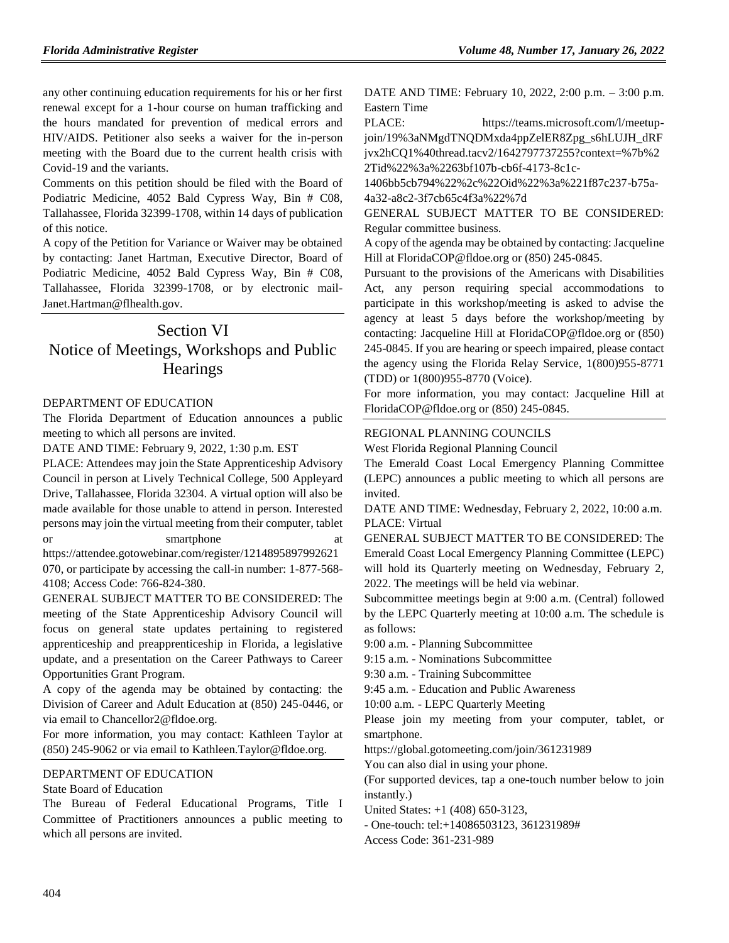any other continuing education requirements for his or her first renewal except for a 1-hour course on human trafficking and the hours mandated for prevention of medical errors and HIV/AIDS. Petitioner also seeks a waiver for the in-person meeting with the Board due to the current health crisis with Covid-19 and the variants.

Comments on this petition should be filed with the Board of Podiatric Medicine, 4052 Bald Cypress Way, Bin # C08, Tallahassee, Florida 32399-1708, within 14 days of publication of this notice.

A copy of the Petition for Variance or Waiver may be obtained by contacting: Janet Hartman, Executive Director, Board of Podiatric Medicine, 4052 Bald Cypress Way, Bin # C08, Tallahassee, Florida 32399-1708, or by electronic mail-Janet.Hartman@flhealth.gov.

## Section VI Notice of Meetings, Workshops and Public **Hearings**

### [DEPARTMENT OF EDUCATION](https://www.flrules.org/gateway/department.asp?id=6)

The Florida Department of Education announces a public meeting to which all persons are invited.

DATE AND TIME: February 9, 2022, 1:30 p.m. EST

PLACE: Attendees may join the State Apprenticeship Advisory Council in person at Lively Technical College, 500 Appleyard Drive, Tallahassee, Florida 32304. A virtual option will also be made available for those unable to attend in person. Interested persons may join the virtual meeting from their computer, tablet or smartphone at

https://attendee.gotowebinar.com/register/1214895897992621 070, or participate by accessing the call-in number: 1-877-568- 4108; Access Code: 766-824-380.

GENERAL SUBJECT MATTER TO BE CONSIDERED: The meeting of the State Apprenticeship Advisory Council will focus on general state updates pertaining to registered apprenticeship and preapprenticeship in Florida, a legislative update, and a presentation on the Career Pathways to Career Opportunities Grant Program.

A copy of the agenda may be obtained by contacting: the Division of Career and Adult Education at (850) 245-0446, or via email to Chancellor2@fldoe.org.

For more information, you may contact: Kathleen Taylor at (850) 245-9062 or via email to Kathleen.Taylor@fldoe.org.

#### [DEPARTMENT OF EDUCATION](https://www.flrules.org/gateway/department.asp?id=6)

#### [State Board of Education](https://www.flrules.org/gateway/organization.asp?id=195)

The Bureau of Federal Educational Programs, Title I Committee of Practitioners announces a public meeting to which all persons are invited.

DATE AND TIME: February 10, 2022, 2:00 p.m. – 3:00 p.m. Eastern Time

PLACE: https://teams.microsoft.com/l/meetupjoin/19%3aNMgdTNQDMxda4ppZelER8Zpg\_s6hLUJH\_dRF jvx2hCQ1%40thread.tacv2/1642797737255?context=%7b%2 2Tid%22%3a%2263bf107b-cb6f-4173-8c1c-

1406bb5cb794%22%2c%22Oid%22%3a%221f87c237-b75a-4a32-a8c2-3f7cb65c4f3a%22%7d

GENERAL SUBJECT MATTER TO BE CONSIDERED: Regular committee business.

A copy of the agenda may be obtained by contacting: Jacqueline Hill at FloridaCOP@fldoe.org or (850) 245-0845.

Pursuant to the provisions of the Americans with Disabilities Act, any person requiring special accommodations to participate in this workshop/meeting is asked to advise the agency at least 5 days before the workshop/meeting by contacting: Jacqueline Hill at FloridaCOP@fldoe.org or (850) 245-0845. If you are hearing or speech impaired, please contact the agency using the Florida Relay Service, 1(800)955-8771 (TDD) or 1(800)955-8770 (Voice).

For more information, you may contact: Jacqueline Hill at FloridaCOP@fldoe.org or (850) 245-0845.

### [REGIONAL PLANNING COUNCILS](https://www.flrules.org/gateway/department.asp?id=29)

[West Florida Regional Planning Council](https://www.flrules.org/gateway/organization.asp?id=57)

The Emerald Coast Local Emergency Planning Committee (LEPC) announces a public meeting to which all persons are invited.

DATE AND TIME: Wednesday, February 2, 2022, 10:00 a.m. PLACE: Virtual

GENERAL SUBJECT MATTER TO BE CONSIDERED: The Emerald Coast Local Emergency Planning Committee (LEPC) will hold its Quarterly meeting on Wednesday, February 2, 2022. The meetings will be held via webinar.

Subcommittee meetings begin at 9:00 a.m. (Central) followed by the LEPC Quarterly meeting at 10:00 a.m. The schedule is as follows:

9:00 a.m. - Planning Subcommittee

9:15 a.m. - Nominations Subcommittee

9:30 a.m. - Training Subcommittee

9:45 a.m. - Education and Public Awareness

10:00 a.m. - LEPC Quarterly Meeting

Please join my meeting from your computer, tablet, or smartphone.

https://global.gotomeeting.com/join/361231989

You can also dial in using your phone.

(For supported devices, tap a one-touch number below to join instantly.)

United States: +1 (408) 650-3123,

- One-touch: tel:+14086503123, 361231989#

Access Code: 361-231-989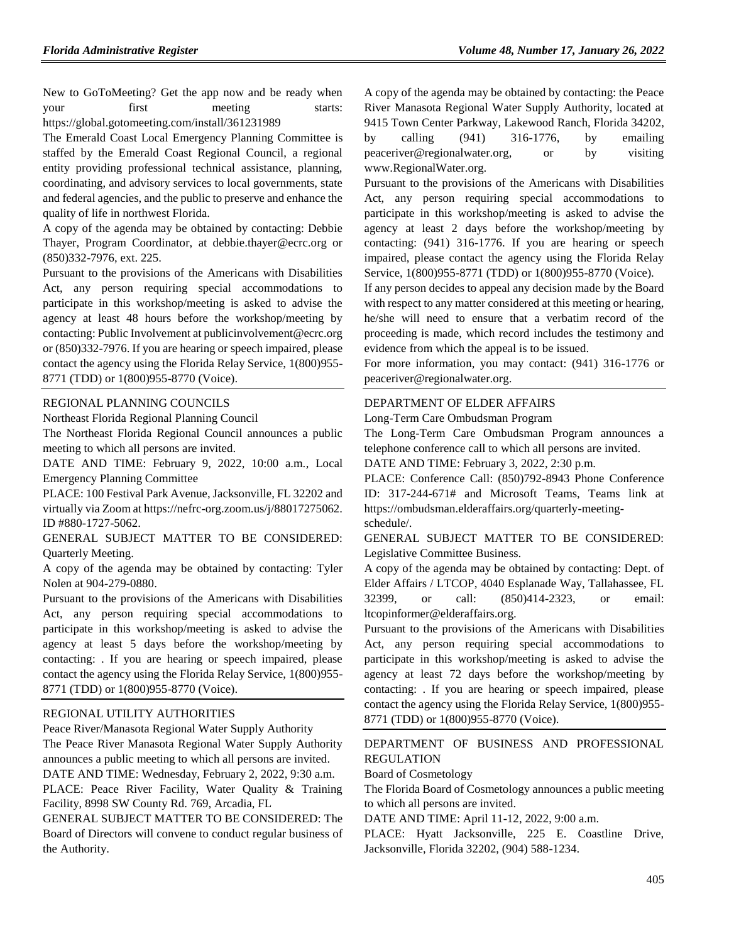New to GoToMeeting? Get the app now and be ready when your first meeting starts: https://global.gotomeeting.com/install/361231989

The Emerald Coast Local Emergency Planning Committee is staffed by the Emerald Coast Regional Council, a regional entity providing professional technical assistance, planning, coordinating, and advisory services to local governments, state and federal agencies, and the public to preserve and enhance the quality of life in northwest Florida.

A copy of the agenda may be obtained by contacting: Debbie Thayer, Program Coordinator, at debbie.thayer@ecrc.org or (850)332-7976, ext. 225.

Pursuant to the provisions of the Americans with Disabilities Act, any person requiring special accommodations to participate in this workshop/meeting is asked to advise the agency at least 48 hours before the workshop/meeting by contacting: Public Involvement at publicinvolvement@ecrc.org or (850)332-7976. If you are hearing or speech impaired, please contact the agency using the Florida Relay Service, 1(800)955- 8771 (TDD) or 1(800)955-8770 (Voice).

#### [REGIONAL PLANNING COUNCILS](https://www.flrules.org/gateway/department.asp?id=29)

[Northeast Florida Regional Planning Council](https://www.flrules.org/gateway/organization.asp?id=60)

The Northeast Florida Regional Council announces a public meeting to which all persons are invited.

DATE AND TIME: February 9, 2022, 10:00 a.m., Local Emergency Planning Committee

PLACE: 100 Festival Park Avenue, Jacksonville, FL 32202 and virtually via Zoom at https://nefrc-org.zoom.us/j/88017275062. ID #880-1727-5062.

GENERAL SUBJECT MATTER TO BE CONSIDERED: Quarterly Meeting.

A copy of the agenda may be obtained by contacting: Tyler Nolen at 904-279-0880.

Pursuant to the provisions of the Americans with Disabilities Act, any person requiring special accommodations to participate in this workshop/meeting is asked to advise the agency at least 5 days before the workshop/meeting by contacting: . If you are hearing or speech impaired, please contact the agency using the Florida Relay Service, 1(800)955- 8771 (TDD) or 1(800)955-8770 (Voice).

#### [REGIONAL UTILITY AUTHORITIES](https://www.flrules.org/gateway/department.asp?id=49)

[Peace River/Manasota Regional Water Supply Authority](https://www.flrules.org/gateway/organization.asp?id=160) The Peace River Manasota Regional Water Supply Authority announces a public meeting to which all persons are invited. DATE AND TIME: Wednesday, February 2, 2022, 9:30 a.m. PLACE: Peace River Facility, Water Quality & Training Facility, 8998 SW County Rd. 769, Arcadia, FL

GENERAL SUBJECT MATTER TO BE CONSIDERED: The Board of Directors will convene to conduct regular business of the Authority.

A copy of the agenda may be obtained by contacting: the Peace River Manasota Regional Water Supply Authority, located at 9415 Town Center Parkway, Lakewood Ranch, Florida 34202, by calling (941) 316-1776, by emailing peaceriver@regionalwater.org, or by visiting www.RegionalWater.org.

Pursuant to the provisions of the Americans with Disabilities Act, any person requiring special accommodations to participate in this workshop/meeting is asked to advise the agency at least 2 days before the workshop/meeting by contacting: (941) 316-1776. If you are hearing or speech impaired, please contact the agency using the Florida Relay Service, 1(800)955-8771 (TDD) or 1(800)955-8770 (Voice).

If any person decides to appeal any decision made by the Board with respect to any matter considered at this meeting or hearing, he/she will need to ensure that a verbatim record of the proceeding is made, which record includes the testimony and evidence from which the appeal is to be issued.

For more information, you may contact: (941) 316-1776 or peaceriver@regionalwater.org.

#### [DEPARTMENT OF ELDER AFFAIRS](https://www.flrules.org/gateway/department.asp?id=58)

[Long-Term Care Ombudsman Program](https://www.flrules.org/gateway/organization.asp?id=184)

The Long-Term Care Ombudsman Program announces a telephone conference call to which all persons are invited.

DATE AND TIME: February 3, 2022, 2:30 p.m.

PLACE: Conference Call: (850)792-8943 Phone Conference ID: 317-244-671# and Microsoft Teams, Teams link at https://ombudsman.elderaffairs.org/quarterly-meetingschedule/.

GENERAL SUBJECT MATTER TO BE CONSIDERED: Legislative Committee Business.

A copy of the agenda may be obtained by contacting: Dept. of Elder Affairs / LTCOP, 4040 Esplanade Way, Tallahassee, FL 32399, or call: (850)414-2323, or email: ltcopinformer@elderaffairs.org.

Pursuant to the provisions of the Americans with Disabilities Act, any person requiring special accommodations to participate in this workshop/meeting is asked to advise the agency at least 72 days before the workshop/meeting by contacting: . If you are hearing or speech impaired, please contact the agency using the Florida Relay Service, 1(800)955- 8771 (TDD) or 1(800)955-8770 (Voice).

[DEPARTMENT OF BUSINESS AND PROFESSIONAL](https://www.flrules.org/gateway/department.asp?id=61)  [REGULATION](https://www.flrules.org/gateway/department.asp?id=61)

[Board of Cosmetology](https://www.flrules.org/gateway/organization.asp?id=275)

The Florida Board of Cosmetology announces a public meeting to which all persons are invited.

DATE AND TIME: April 11-12, 2022, 9:00 a.m.

PLACE: Hyatt Jacksonville, 225 E. Coastline Drive, Jacksonville, Florida 32202, (904) 588-1234.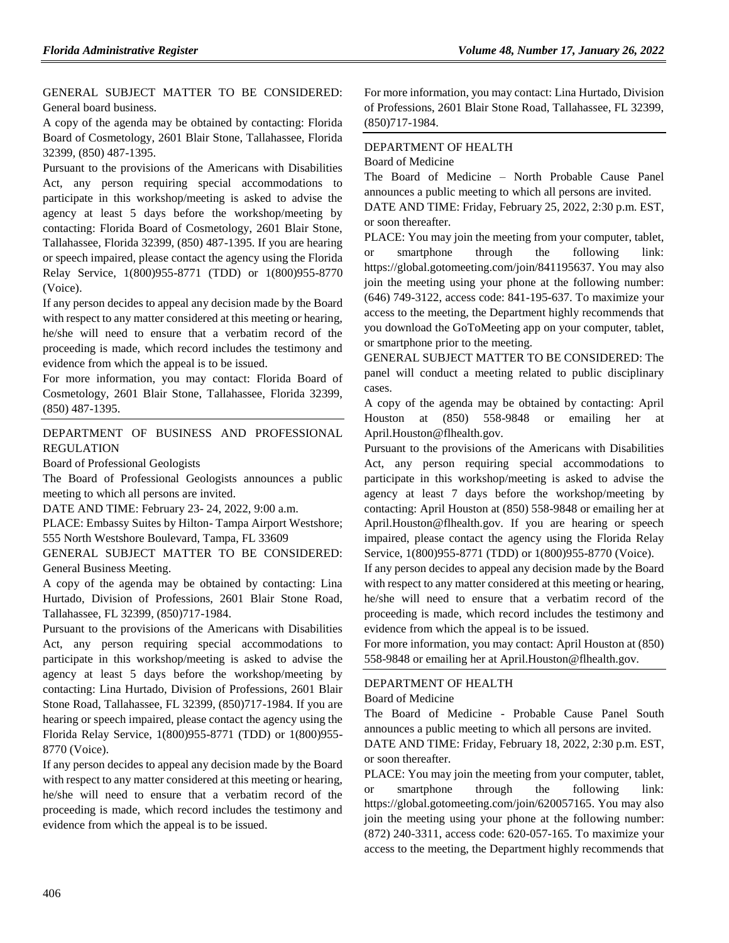GENERAL SUBJECT MATTER TO BE CONSIDERED: General board business.

A copy of the agenda may be obtained by contacting: Florida Board of Cosmetology, 2601 Blair Stone, Tallahassee, Florida 32399, (850) 487-1395.

Pursuant to the provisions of the Americans with Disabilities Act, any person requiring special accommodations to participate in this workshop/meeting is asked to advise the agency at least 5 days before the workshop/meeting by contacting: Florida Board of Cosmetology, 2601 Blair Stone, Tallahassee, Florida 32399, (850) 487-1395. If you are hearing or speech impaired, please contact the agency using the Florida Relay Service, 1(800)955-8771 (TDD) or 1(800)955-8770 (Voice).

If any person decides to appeal any decision made by the Board with respect to any matter considered at this meeting or hearing, he/she will need to ensure that a verbatim record of the proceeding is made, which record includes the testimony and evidence from which the appeal is to be issued.

For more information, you may contact: Florida Board of Cosmetology, 2601 Blair Stone, Tallahassee, Florida 32399, (850) 487-1395.

## [DEPARTMENT OF BUSINESS AND PROFESSIONAL](https://www.flrules.org/gateway/department.asp?id=61)  [REGULATION](https://www.flrules.org/gateway/department.asp?id=61)

[Board of Professional Geologists](https://www.flrules.org/gateway/organization.asp?id=268)

The Board of Professional Geologists announces a public meeting to which all persons are invited.

DATE AND TIME: February 23- 24, 2022, 9:00 a.m.

PLACE: Embassy Suites by Hilton- Tampa Airport Westshore; 555 North Westshore Boulevard, Tampa, FL 33609

GENERAL SUBJECT MATTER TO BE CONSIDERED: General Business Meeting.

A copy of the agenda may be obtained by contacting: Lina Hurtado, Division of Professions, 2601 Blair Stone Road, Tallahassee, FL 32399, (850)717-1984.

Pursuant to the provisions of the Americans with Disabilities Act, any person requiring special accommodations to participate in this workshop/meeting is asked to advise the agency at least 5 days before the workshop/meeting by contacting: Lina Hurtado, Division of Professions, 2601 Blair Stone Road, Tallahassee, FL 32399, (850)717-1984. If you are hearing or speech impaired, please contact the agency using the Florida Relay Service, 1(800)955-8771 (TDD) or 1(800)955- 8770 (Voice).

If any person decides to appeal any decision made by the Board with respect to any matter considered at this meeting or hearing, he/she will need to ensure that a verbatim record of the proceeding is made, which record includes the testimony and evidence from which the appeal is to be issued.

For more information, you may contact: Lina Hurtado, Division of Professions, 2601 Blair Stone Road, Tallahassee, FL 32399, (850)717-1984.

## [DEPARTMENT OF HEALTH](https://www.flrules.org/gateway/department.asp?id=64)

[Board of Medicine](https://www.flrules.org/gateway/organization.asp?id=331)

or soon thereafter.

The Board of Medicine – North Probable Cause Panel announces a public meeting to which all persons are invited. DATE AND TIME: Friday, February 25, 2022, 2:30 p.m. EST,

PLACE: You may join the meeting from your computer, tablet, or smartphone through the following link: https://global.gotomeeting.com/join/841195637. You may also join the meeting using your phone at the following number: (646) 749-3122, access code: 841-195-637. To maximize your access to the meeting, the Department highly recommends that you download the GoToMeeting app on your computer, tablet, or smartphone prior to the meeting.

GENERAL SUBJECT MATTER TO BE CONSIDERED: The panel will conduct a meeting related to public disciplinary cases.

A copy of the agenda may be obtained by contacting: April Houston at (850) 558-9848 or emailing her at April.Houston@flhealth.gov.

Pursuant to the provisions of the Americans with Disabilities Act, any person requiring special accommodations to participate in this workshop/meeting is asked to advise the agency at least 7 days before the workshop/meeting by contacting: April Houston at (850) 558-9848 or emailing her at April.Houston@flhealth.gov. If you are hearing or speech impaired, please contact the agency using the Florida Relay Service, 1(800)955-8771 (TDD) or 1(800)955-8770 (Voice).

If any person decides to appeal any decision made by the Board with respect to any matter considered at this meeting or hearing, he/she will need to ensure that a verbatim record of the proceeding is made, which record includes the testimony and evidence from which the appeal is to be issued.

For more information, you may contact: April Houston at (850) 558-9848 or emailing her at April.Houston@flhealth.gov.

## [DEPARTMENT OF](https://www.flrules.org/gateway/department.asp?id=64) HEALTH

[Board of Medicine](https://www.flrules.org/gateway/organization.asp?id=331)

The Board of Medicine - Probable Cause Panel South announces a public meeting to which all persons are invited.

DATE AND TIME: Friday, February 18, 2022, 2:30 p.m. EST, or soon thereafter.

PLACE: You may join the meeting from your computer, tablet, or smartphone through the following link: https://global.gotomeeting.com/join/620057165. You may also join the meeting using your phone at the following number: (872) 240-3311, access code: 620-057-165. To maximize your access to the meeting, the Department highly recommends that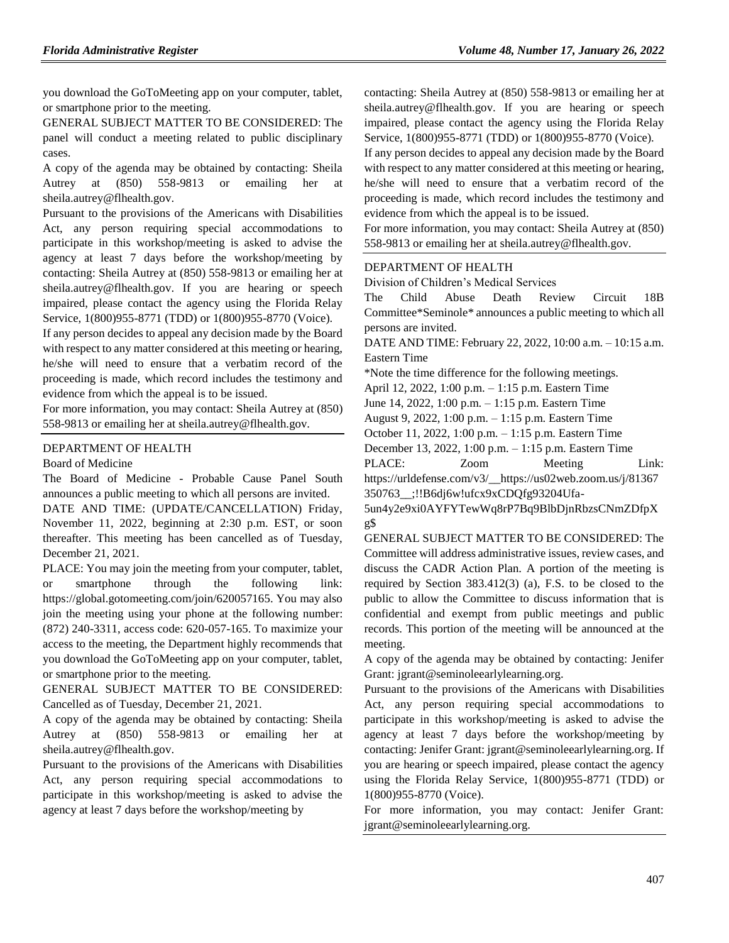you download the GoToMeeting app on your computer, tablet, or smartphone prior to the meeting.

GENERAL SUBJECT MATTER TO BE CONSIDERED: The panel will conduct a meeting related to public disciplinary cases.

A copy of the agenda may be obtained by contacting: Sheila Autrey at (850) 558-9813 or emailing her at sheila.autrey@flhealth.gov.

Pursuant to the provisions of the Americans with Disabilities Act, any person requiring special accommodations to participate in this workshop/meeting is asked to advise the agency at least 7 days before the workshop/meeting by contacting: Sheila Autrey at (850) 558-9813 or emailing her at sheila.autrey@flhealth.gov. If you are hearing or speech impaired, please contact the agency using the Florida Relay Service, 1(800)955-8771 (TDD) or 1(800)955-8770 (Voice).

If any person decides to appeal any decision made by the Board with respect to any matter considered at this meeting or hearing, he/she will need to ensure that a verbatim record of the proceeding is made, which record includes the testimony and evidence from which the appeal is to be issued.

For more information, you may contact: Sheila Autrey at (850) 558-9813 or emailing her at sheila.autrey@flhealth.gov.

## [DEPARTMENT OF HEALTH](https://www.flrules.org/gateway/department.asp?id=64)

#### [Board of Medicine](https://www.flrules.org/gateway/organization.asp?id=331)

The Board of Medicine - Probable Cause Panel South announces a public meeting to which all persons are invited.

DATE AND TIME: (UPDATE/CANCELLATION) Friday, November 11, 2022, beginning at 2:30 p.m. EST, or soon thereafter. This meeting has been cancelled as of Tuesday, December 21, 2021.

PLACE: You may join the meeting from your computer, tablet, or smartphone through the following link: https://global.gotomeeting.com/join/620057165. You may also join the meeting using your phone at the following number: (872) 240-3311, access code: 620-057-165. To maximize your access to the meeting, the Department highly recommends that you download the GoToMeeting app on your computer, tablet, or smartphone prior to the meeting.

GENERAL SUBJECT MATTER TO BE CONSIDERED: Cancelled as of Tuesday, December 21, 2021.

A copy of the agenda may be obtained by contacting: Sheila Autrey at (850) 558-9813 or emailing her at sheila.autrey@flhealth.gov.

Pursuant to the provisions of the Americans with Disabilities Act, any person requiring special accommodations to participate in this workshop/meeting is asked to advise the agency at least 7 days before the workshop/meeting by

contacting: Sheila Autrey at (850) 558-9813 or emailing her at sheila.autrey@flhealth.gov. If you are hearing or speech impaired, please contact the agency using the Florida Relay Service, 1(800)955-8771 (TDD) or 1(800)955-8770 (Voice).

If any person decides to appeal any decision made by the Board with respect to any matter considered at this meeting or hearing, he/she will need to ensure that a verbatim record of the proceeding is made, which record includes the testimony and evidence from which the appeal is to be issued.

For more information, you may contact: Sheila Autrey at (850) 558-9813 or emailing her at sheila.autrey@flhealth.gov.

#### [DEPARTMENT OF HEALTH](https://www.flrules.org/gateway/department.asp?id=64)

[Division of Children's Medical Services](https://www.flrules.org/gateway/organization.asp?id=333)

The Child Abuse Death Review Circuit 18B Committee\*Seminole\* announces a public meeting to which all persons are invited.

DATE AND TIME: February 22, 2022, 10:00 a.m. – 10:15 a.m. Eastern Time

\*Note the time difference for the following meetings.

April 12, 2022, 1:00 p.m. – 1:15 p.m. Eastern Time

June 14, 2022, 1:00 p.m. – 1:15 p.m. Eastern Time

August 9, 2022, 1:00 p.m. – 1:15 p.m. Eastern Time

October 11, 2022, 1:00 p.m. – 1:15 p.m. Eastern Time

December 13, 2022, 1:00 p.m. – 1:15 p.m. Eastern Time

PLACE: Zoom Meeting Link:

https://urldefense.com/v3/\_\_https://us02web.zoom.us/j/81367 350763\_\_;!!B6dj6w!ufcx9xCDQfg93204Ufa-

5un4y2e9xi0AYFYTewWq8rP7Bq9BlbDjnRbzsCNmZDfpX g\$

GENERAL SUBJECT MATTER TO BE CONSIDERED: The Committee will address administrative issues, review cases, and discuss the CADR Action Plan. A portion of the meeting is required by Section 383.412(3) (a), F.S. to be closed to the public to allow the Committee to discuss information that is confidential and exempt from public meetings and public records. This portion of the meeting will be announced at the meeting.

A copy of the agenda may be obtained by contacting: Jenifer Grant: jgrant@seminoleearlylearning.org.

Pursuant to the provisions of the Americans with Disabilities Act, any person requiring special accommodations to participate in this workshop/meeting is asked to advise the agency at least 7 days before the workshop/meeting by contacting: Jenifer Grant: jgrant@seminoleearlylearning.org. If you are hearing or speech impaired, please contact the agency using the Florida Relay Service, 1(800)955-8771 (TDD) or 1(800)955-8770 (Voice).

For more information, you may contact: Jenifer Grant: jgrant@seminoleearlylearning.org.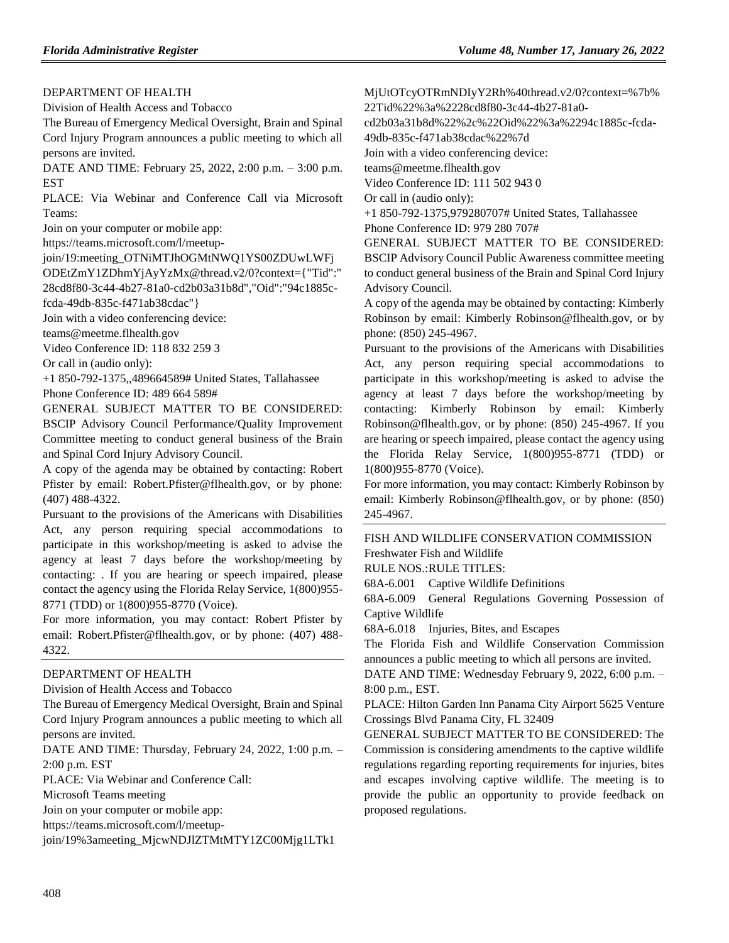[DEPARTMENT OF HEALTH](https://www.flrules.org/gateway/department.asp?id=64)

[Division of Health Access and Tobacco](https://www.flrules.org/gateway/organization.asp?id=506)

The Bureau of Emergency Medical Oversight, Brain and Spinal Cord Injury Program announces a public meeting to which all persons are invited.

DATE AND TIME: February 25, 2022, 2:00 p.m. – 3:00 p.m. EST

PLACE: Via Webinar and Conference Call via Microsoft Teams:

Join on your computer or mobile app:

https://teams.microsoft.com/l/meetup-

join/19:meeting\_OTNiMTJhOGMtNWQ1YS00ZDUwLWFj

ODEtZmY1ZDhmYjAyYzMx@thread.v2/0?context={"Tid":" 28cd8f80-3c44-4b27-81a0-cd2b03a31b8d","Oid":"94c1885c-

fcda-49db-835c-f471ab38cdac"}

Join with a video conferencing device:

teams@meetme.flhealth.gov

Video Conference ID: 118 832 259 3

Or call in (audio only):

+1 850-792-1375,,489664589# United States, Tallahassee Phone Conference ID: 489 664 589#

GENERAL SUBJECT MATTER TO BE CONSIDERED: BSCIP Advisory Council Performance/Quality Improvement Committee meeting to conduct general business of the Brain and Spinal Cord Injury Advisory Council.

A copy of the agenda may be obtained by contacting: Robert Pfister by email: Robert.Pfister@flhealth.gov, or by phone: (407) 488-4322.

Pursuant to the provisions of the Americans with Disabilities Act, any person requiring special accommodations to participate in this workshop/meeting is asked to advise the agency at least 7 days before the workshop/meeting by contacting: . If you are hearing or speech impaired, please contact the agency using the Florida Relay Service, 1(800)955- 8771 (TDD) or 1(800)955-8770 (Voice).

For more information, you may contact: Robert Pfister by email: Robert.Pfister@flhealth.gov, or by phone: (407) 488- 4322.

### [DEPARTMENT OF HEALTH](https://www.flrules.org/gateway/department.asp?id=64)

[Division of Health Access and Tobacco](https://www.flrules.org/gateway/organization.asp?id=506)

The Bureau of Emergency Medical Oversight, Brain and Spinal Cord Injury Program announces a public meeting to which all persons are invited.

DATE AND TIME: Thursday, February 24, 2022, 1:00 p.m. – 2:00 p.m. EST

PLACE: Via Webinar and Conference Call:

Microsoft Teams meeting

Join on your computer or mobile app:

https://teams.microsoft.com/l/meetup-

join/19%3ameeting\_MjcwNDJlZTMtMTY1ZC00Mjg1LTk1

MjUtOTcyOTRmNDIyY2Rh%40thread.v2/0?context=%7b% 22Tid%22%3a%2228cd8f80-3c44-4b27-81a0-

cd2b03a31b8d%22%2c%22Oid%22%3a%2294c1885c-fcda-

49db-835c-f471ab38cdac%22%7d

Join with a video conferencing device:

teams@meetme.flhealth.gov

Video Conference ID: 111 502 943 0

Or call in (audio only):

+1 850-792-1375,979280707# United States, Tallahassee Phone Conference ID: 979 280 707#

GENERAL SUBJECT MATTER TO BE CONSIDERED: BSCIP Advisory Council Public Awareness committee meeting to conduct general business of the Brain and Spinal Cord Injury Advisory Council.

A copy of the agenda may be obtained by contacting: Kimberly Robinson by email: Kimberly Robinson@flhealth.gov, or by phone: (850) 245-4967.

Pursuant to the provisions of the Americans with Disabilities Act, any person requiring special accommodations to participate in this workshop/meeting is asked to advise the agency at least 7 days before the workshop/meeting by contacting: Kimberly Robinson by email: Kimberly Robinson@flhealth.gov, or by phone: (850) 245-4967. If you are hearing or speech impaired, please contact the agency using the Florida Relay Service, 1(800)955-8771 (TDD) or 1(800)955-8770 (Voice).

For more information, you may contact: Kimberly Robinson by email: Kimberly Robinson@flhealth.gov, or by phone: (850) 245-4967.

[FISH AND WILDLIFE CONSERVATION COMMISSION](https://www.flrules.org/gateway/department.asp?id=68) [Freshwater Fish and Wildlife](https://www.flrules.org/gateway/organization.asp?id=347)

RULE NOS.:RULE TITLES:

[68A-6.001](https://www.flrules.org/gateway/ruleNo.asp?id=68A-6.001) Captive Wildlife Definitions

[68A-6.009](https://www.flrules.org/gateway/ruleNo.asp?id=68A-6.009) General Regulations Governing Possession of Captive Wildlife

[68A-6.018](https://www.flrules.org/gateway/ruleNo.asp?id=68A-6.018) Injuries, Bites, and Escapes

The Florida Fish and Wildlife Conservation Commission announces a public meeting to which all persons are invited.

DATE AND TIME: Wednesday February 9, 2022, 6:00 p.m. – 8:00 p.m., EST.

PLACE: Hilton Garden Inn Panama City Airport 5625 Venture Crossings Blvd Panama City, FL 32409

GENERAL SUBJECT MATTER TO BE CONSIDERED: The Commission is considering amendments to the captive wildlife regulations regarding reporting requirements for injuries, bites and escapes involving captive wildlife. The meeting is to provide the public an opportunity to provide feedback on proposed regulations.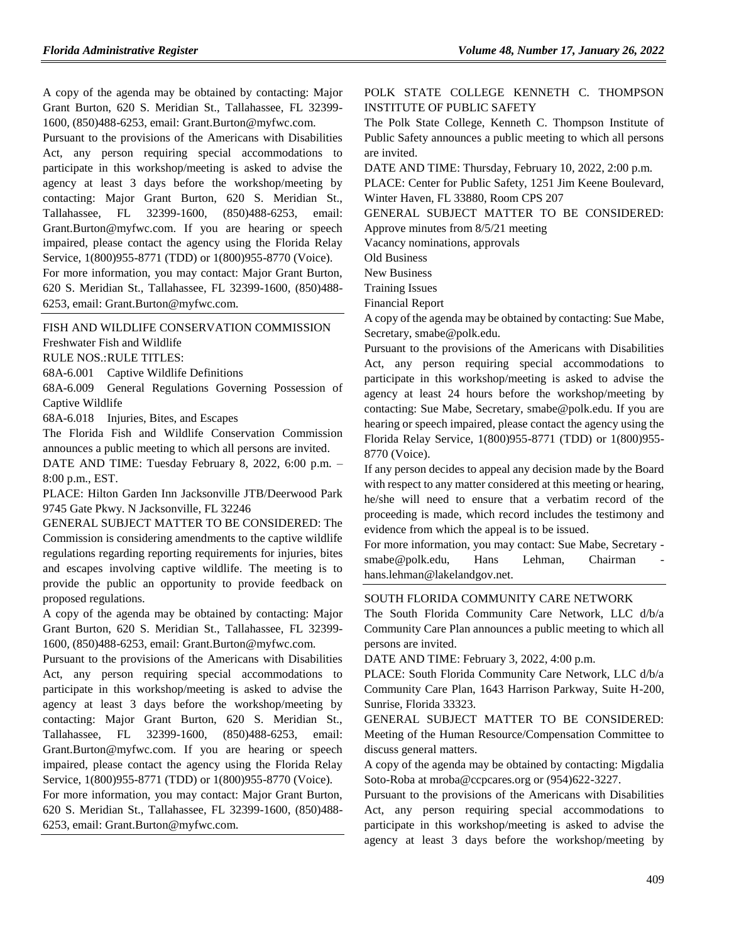A copy of the agenda may be obtained by contacting: Major Grant Burton, 620 S. Meridian St., Tallahassee, FL 32399- 1600, (850)488-6253, email: Grant.Burton@myfwc.com.

Pursuant to the provisions of the Americans with Disabilities Act, any person requiring special accommodations to participate in this workshop/meeting is asked to advise the agency at least 3 days before the workshop/meeting by contacting: Major Grant Burton, 620 S. Meridian St., Tallahassee, FL 32399-1600, (850)488-6253, email: Grant.Burton@myfwc.com. If you are hearing or speech impaired, please contact the agency using the Florida Relay Service, 1(800)955-8771 (TDD) or 1(800)955-8770 (Voice).

For more information, you may contact: Major Grant Burton, 620 S. Meridian St., Tallahassee, FL 32399-1600, (850)488- 6253, email: Grant.Burton@myfwc.com.

## [FISH AND WILDLIFE CONSERVATION COMMISSION](https://www.flrules.org/gateway/department.asp?id=68)

[Freshwater Fish and Wildlife](https://www.flrules.org/gateway/organization.asp?id=347)

RULE NOS.:RULE TITLES:

[68A-6.001](https://www.flrules.org/gateway/ruleNo.asp?id=68A-6.001) Captive Wildlife Definitions

[68A-6.009](https://www.flrules.org/gateway/ruleNo.asp?id=68A-6.009) General Regulations Governing Possession of Captive Wildlife

[68A-6.018](https://www.flrules.org/gateway/ruleNo.asp?id=68A-6.018) Injuries, Bites, and Escapes

The Florida Fish and Wildlife Conservation Commission announces a public meeting to which all persons are invited.

DATE AND TIME: Tuesday February 8, 2022, 6:00 p.m. – 8:00 p.m., EST.

PLACE: Hilton Garden Inn Jacksonville JTB/Deerwood Park 9745 Gate Pkwy. N Jacksonville, FL 32246

GENERAL SUBJECT MATTER TO BE CONSIDERED: The Commission is considering amendments to the captive wildlife regulations regarding reporting requirements for injuries, bites and escapes involving captive wildlife. The meeting is to provide the public an opportunity to provide feedback on proposed regulations.

A copy of the agenda may be obtained by contacting: Major Grant Burton, 620 S. Meridian St., Tallahassee, FL 32399- 1600, (850)488-6253, email: Grant.Burton@myfwc.com.

Pursuant to the provisions of the Americans with Disabilities Act, any person requiring special accommodations to participate in this workshop/meeting is asked to advise the agency at least 3 days before the workshop/meeting by contacting: Major Grant Burton, 620 S. Meridian St., Tallahassee, FL 32399-1600, (850)488-6253, email: Grant.Burton@myfwc.com. If you are hearing or speech impaired, please contact the agency using the Florida Relay Service, 1(800)955-8771 (TDD) or 1(800)955-8770 (Voice).

For more information, you may contact: Major Grant Burton, 620 S. Meridian St., Tallahassee, FL 32399-1600, (850)488- 6253, email: Grant.Burton@myfwc.com.

[POLK STATE COLLEGE KENNETH C. THOMPSON](https://www.flrules.org/gateway/organization.asp?id=1389)  [INSTITUTE OF PUBLIC SAFETY](https://www.flrules.org/gateway/organization.asp?id=1389)

The Polk State College, Kenneth C. Thompson Institute of Public Safety announces a public meeting to which all persons are invited.

DATE AND TIME: Thursday, February 10, 2022, 2:00 p.m.

PLACE: Center for Public Safety, 1251 Jim Keene Boulevard, Winter Haven, FL 33880, Room CPS 207

GENERAL SUBJECT MATTER TO BE CONSIDERED: Approve minutes from 8/5/21 meeting

Vacancy nominations, approvals

Old Business

New Business

Training Issues

Financial Report

A copy of the agenda may be obtained by contacting: Sue Mabe, Secretary, smabe@polk.edu.

Pursuant to the provisions of the Americans with Disabilities Act, any person requiring special accommodations to participate in this workshop/meeting is asked to advise the agency at least 24 hours before the workshop/meeting by contacting: Sue Mabe, Secretary, smabe@polk.edu. If you are hearing or speech impaired, please contact the agency using the Florida Relay Service, 1(800)955-8771 (TDD) or 1(800)955- 8770 (Voice).

If any person decides to appeal any decision made by the Board with respect to any matter considered at this meeting or hearing, he/she will need to ensure that a verbatim record of the proceeding is made, which record includes the testimony and evidence from which the appeal is to be issued.

For more information, you may contact: Sue Mabe, Secretary smabe@polk.edu, Hans Lehman, Chairman hans.lehman@lakelandgov.net.

#### [SOUTH FLORIDA COMMUNITY CARE NETWORK](https://www.flrules.org/gateway/organization.asp?id=1130)

The South Florida Community Care Network, LLC d/b/a Community Care Plan announces a public meeting to which all persons are invited.

DATE AND TIME: February 3, 2022, 4:00 p.m.

PLACE: South Florida Community Care Network, LLC d/b/a Community Care Plan, 1643 Harrison Parkway, Suite H-200, Sunrise, Florida 33323.

GENERAL SUBJECT MATTER TO BE CONSIDERED: Meeting of the Human Resource/Compensation Committee to discuss general matters.

A copy of the agenda may be obtained by contacting: Migdalia Soto-Roba at mroba@ccpcares.org or (954)622-3227.

Pursuant to the provisions of the Americans with Disabilities Act, any person requiring special accommodations to participate in this workshop/meeting is asked to advise the agency at least 3 days before the workshop/meeting by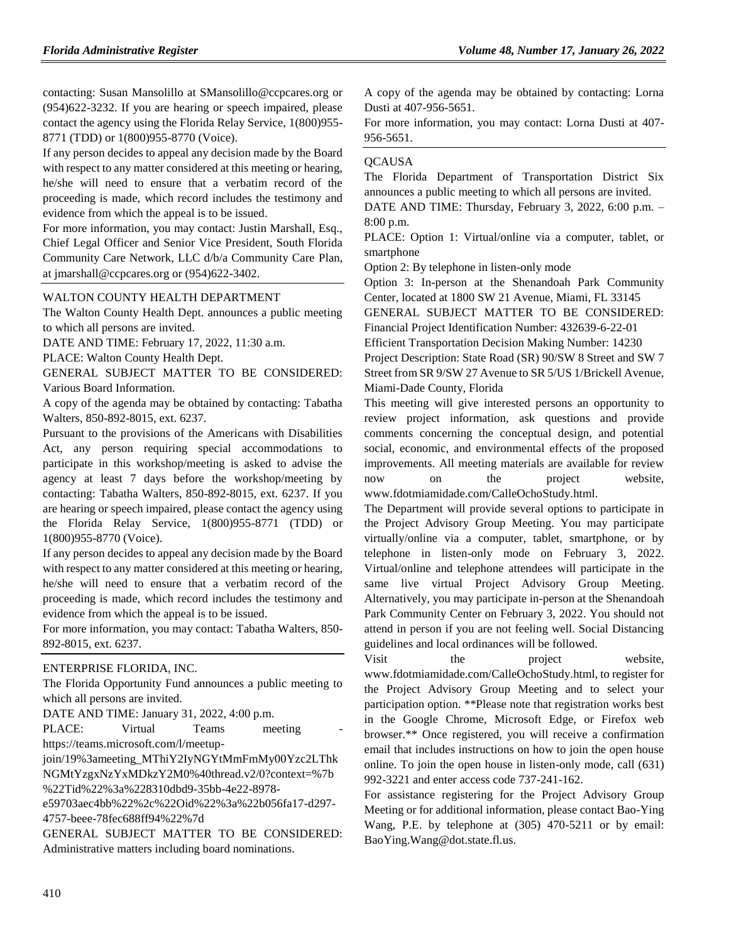contacting: Susan Mansolillo at SMansolillo@ccpcares.org or (954)622-3232. If you are hearing or speech impaired, please contact the agency using the Florida Relay Service, 1(800)955- 8771 (TDD) or 1(800)955-8770 (Voice).

If any person decides to appeal any decision made by the Board with respect to any matter considered at this meeting or hearing, he/she will need to ensure that a verbatim record of the proceeding is made, which record includes the testimony and evidence from which the appeal is to be issued.

For more information, you may contact: Justin Marshall, Esq., Chief Legal Officer and Senior Vice President, South Florida Community Care Network, LLC d/b/a Community Care Plan, at jmarshall@ccpcares.org or (954)622-3402.

#### [WALTON COUNTY HEALTH DEPARTMENT](https://www.flrules.org/gateway/organization.asp?id=1154)

The Walton County Health Dept. announces a public meeting to which all persons are invited.

DATE AND TIME: February 17, 2022, 11:30 a.m.

PLACE: Walton County Health Dept.

GENERAL SUBJECT MATTER TO BE CONSIDERED: Various Board Information.

A copy of the agenda may be obtained by contacting: Tabatha Walters, 850-892-8015, ext. 6237.

Pursuant to the provisions of the Americans with Disabilities Act, any person requiring special accommodations to participate in this workshop/meeting is asked to advise the agency at least 7 days before the workshop/meeting by contacting: Tabatha Walters, 850-892-8015, ext. 6237. If you are hearing or speech impaired, please contact the agency using the Florida Relay Service, 1(800)955-8771 (TDD) or 1(800)955-8770 (Voice).

If any person decides to appeal any decision made by the Board with respect to any matter considered at this meeting or hearing, he/she will need to ensure that a verbatim record of the proceeding is made, which record includes the testimony and evidence from which the appeal is to be issued.

For more information, you may contact: Tabatha Walters, 850- 892-8015, ext. 6237.

#### [ENTERPRISE FLORIDA, INC.](https://www.flrules.org/gateway/organization.asp?id=680)

The Florida Opportunity Fund announces a public meeting to which all persons are invited.

DATE AND TIME: January 31, 2022, 4:00 p.m.

PLACE: Virtual Teams meeting https://teams.microsoft.com/l/meetup-

join/19%3ameeting\_MThiY2IyNGYtMmFmMy00Yzc2LThk NGMtYzgxNzYxMDkzY2M0%40thread.v2/0?context=%7b %22Tid%22%3a%228310dbd9-35bb-4e22-8978-

e59703aec4bb%22%2c%22Oid%22%3a%22b056fa17-d297- 4757-beee-78fec688ff94%22%7d

GENERAL SUBJECT MATTER TO BE CONSIDERED: Administrative matters including board nominations.

A copy of the agenda may be obtained by contacting: Lorna Dusti at 407-956-5651.

For more information, you may contact: Lorna Dusti at 407- 956-5651.

### **[QCAUSA](https://www.flrules.org/gateway/organization.asp?id=991)**

The Florida Department of Transportation District Six announces a public meeting to which all persons are invited.

DATE AND TIME: Thursday, February 3, 2022, 6:00 p.m. – 8:00 p.m.

PLACE: Option 1: Virtual/online via a computer, tablet, or smartphone

Option 2: By telephone in listen-only mode

Option 3: In-person at the Shenandoah Park Community Center, located at 1800 SW 21 Avenue, Miami, FL 33145

GENERAL SUBJECT MATTER TO BE CONSIDERED: Financial Project Identification Number: 432639-6-22-01

Efficient Transportation Decision Making Number: 14230

Project Description: State Road (SR) 90/SW 8 Street and SW 7 Street from SR 9/SW 27 Avenue to SR 5/US 1/Brickell Avenue, Miami-Dade County, Florida

This meeting will give interested persons an opportunity to review project information, ask questions and provide comments concerning the conceptual design, and potential social, economic, and environmental effects of the proposed improvements. All meeting materials are available for review now on the project website, www.fdotmiamidade.com/CalleOchoStudy.html.

The Department will provide several options to participate in the Project Advisory Group Meeting. You may participate virtually/online via a computer, tablet, smartphone, or by telephone in listen-only mode on February 3, 2022. Virtual/online and telephone attendees will participate in the same live virtual Project Advisory Group Meeting. Alternatively, you may participate in-person at the Shenandoah Park Community Center on February 3, 2022. You should not attend in person if you are not feeling well. Social Distancing guidelines and local ordinances will be followed.

Visit the project website, www.fdotmiamidade.com/CalleOchoStudy.html, to register for the Project Advisory Group Meeting and to select your participation option. \*\*Please note that registration works best in the Google Chrome, Microsoft Edge, or Firefox web browser.\*\* Once registered, you will receive a confirmation email that includes instructions on how to join the open house online. To join the open house in listen-only mode, call (631) 992-3221 and enter access code 737-241-162.

For assistance registering for the Project Advisory Group Meeting or for additional information, please contact Bao-Ying Wang, P.E. by telephone at (305) 470-5211 or by email: BaoYing.Wang@dot.state.fl.us.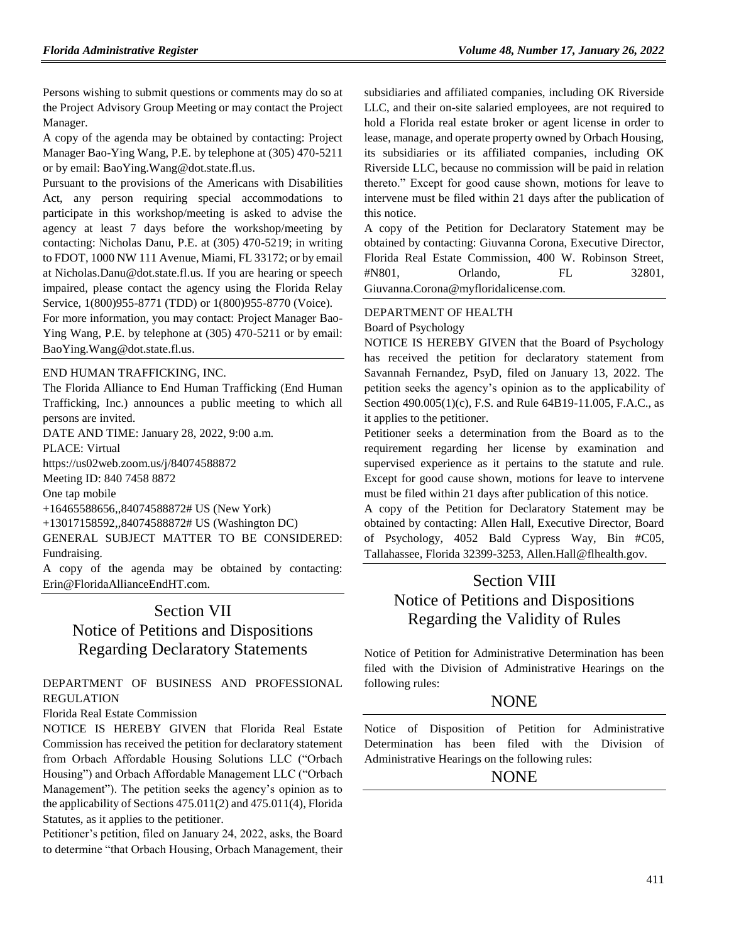Persons wishing to submit questions or comments may do so at the Project Advisory Group Meeting or may contact the Project Manager.

A copy of the agenda may be obtained by contacting: Project Manager Bao-Ying Wang, P.E. by telephone at (305) 470-5211 or by email: BaoYing.Wang@dot.state.fl.us.

Pursuant to the provisions of the Americans with Disabilities Act, any person requiring special accommodations to participate in this workshop/meeting is asked to advise the agency at least 7 days before the workshop/meeting by contacting: Nicholas Danu, P.E. at (305) 470-5219; in writing to FDOT, 1000 NW 111 Avenue, Miami, FL 33172; or by email at Nicholas.Danu@dot.state.fl.us. If you are hearing or speech impaired, please contact the agency using the Florida Relay Service, 1(800)955-8771 (TDD) or 1(800)955-8770 (Voice).

For more information, you may contact: Project Manager Bao-Ying Wang, P.E. by telephone at (305) 470-5211 or by email: BaoYing.Wang@dot.state.fl.us.

### [END HUMAN TRAFFICKING, INC.](https://www.flrules.org/gateway/organization.asp?id=1381)

The Florida Alliance to End Human Trafficking (End Human Trafficking, Inc.) announces a public meeting to which all persons are invited.

DATE AND TIME: January 28, 2022, 9:00 a.m.

PLACE: Virtual

https://us02web.zoom.us/j/84074588872

Meeting ID: 840 7458 8872

One tap mobile

+16465588656,,84074588872# US (New York)

+13017158592,,84074588872# US (Washington DC)

GENERAL SUBJECT MATTER TO BE CONSIDERED: Fundraising.

A copy of the agenda may be obtained by contacting: Erin@FloridaAllianceEndHT.com.

## Section VII

# Notice of Petitions and Dispositions Regarding Declaratory Statements

## [DEPARTMENT OF BUSINESS AND PROFESSIONAL](https://www.flrules.org/gateway/department.asp?id=61)  [REGULATION](https://www.flrules.org/gateway/department.asp?id=61)

[Florida Real Estate Commission](https://www.flrules.org/gateway/organization.asp?id=283)

NOTICE IS HEREBY GIVEN that Florida Real Estate Commission has received the petition for declaratory statement from Orbach Affordable Housing Solutions LLC ("Orbach Housing") and Orbach Affordable Management LLC ("Orbach Management"). The petition seeks the agency's opinion as to the applicability of Sections 475.011(2) and 475.011(4), Florida Statutes, as it applies to the petitioner.

Petitioner's petition, filed on January 24, 2022, asks, the Board to determine "that Orbach Housing, Orbach Management, their

subsidiaries and affiliated companies, including OK Riverside LLC, and their on-site salaried employees, are not required to hold a Florida real estate broker or agent license in order to lease, manage, and operate property owned by Orbach Housing, its subsidiaries or its affiliated companies, including OK Riverside LLC, because no commission will be paid in relation thereto." Except for good cause shown, motions for leave to intervene must be filed within 21 days after the publication of this notice.

A copy of the Petition for Declaratory Statement may be obtained by contacting: Giuvanna Corona, Executive Director, Florida Real Estate Commission, 400 W. Robinson Street, #N801, Orlando, FL 32801, Giuvanna.Corona@myfloridalicense.com.

### [DEPARTMENT OF HEALTH](https://www.flrules.org/gateway/department.asp?id=64)

[Board of Psychology](https://www.flrules.org/gateway/organization.asp?id=310)

NOTICE IS HEREBY GIVEN that the Board of Psychology has received the petition for declaratory statement from Savannah Fernandez, PsyD, filed on January 13, 2022. The petition seeks the agency's opinion as to the applicability of Section 490.005(1)(c), F.S. and Rule 64B19-11.005, F.A.C., as it applies to the petitioner.

Petitioner seeks a determination from the Board as to the requirement regarding her license by examination and supervised experience as it pertains to the statute and rule. Except for good cause shown, motions for leave to intervene must be filed within 21 days after publication of this notice.

A copy of the Petition for Declaratory Statement may be obtained by contacting: Allen Hall, Executive Director, Board of Psychology, 4052 Bald Cypress Way, Bin #C05, Tallahassee, Florida 32399-3253, Allen.Hall@flhealth.gov.

## Section VIII Notice of Petitions and Dispositions Regarding the Validity of Rules

Notice of Petition for Administrative Determination has been filed with the Division of Administrative Hearings on the following rules:

## NONE

Notice of Disposition of Petition for Administrative Determination has been filed with the Division of Administrative Hearings on the following rules:

## **NONE**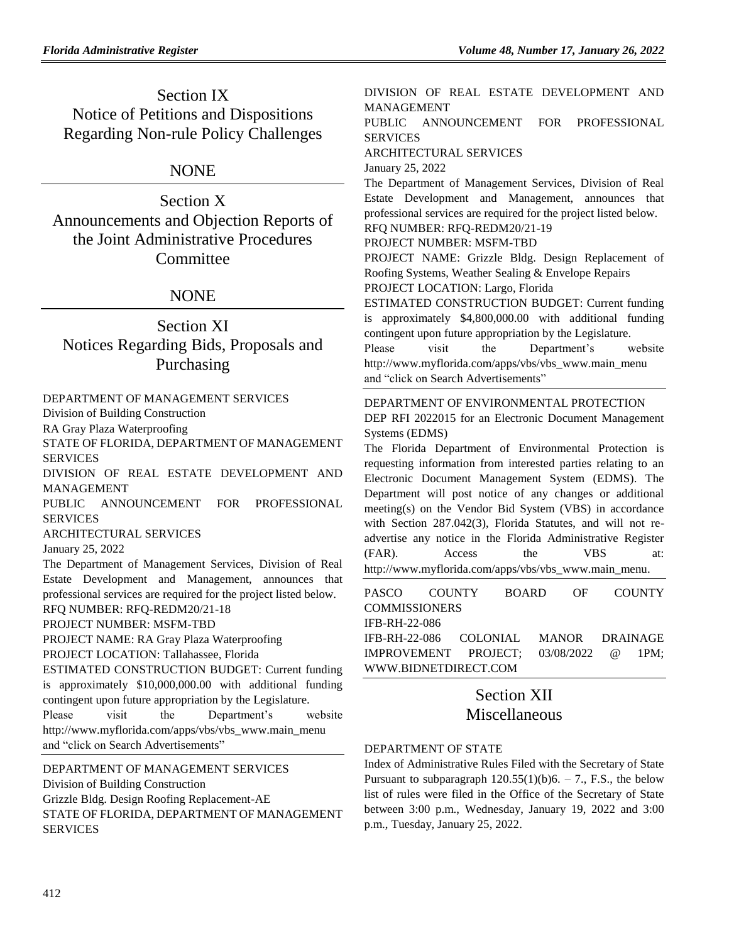Section IX Notice of Petitions and Dispositions Regarding Non-rule Policy Challenges

## NONE

Section X Announcements and Objection Reports of the Joint Administrative Procedures Committee

## **NONE**

# Section XI Notices Regarding Bids, Proposals and Purchasing

### [DEPARTMENT OF MANAGEMENT SERVICES](https://www.flrules.org/gateway/department.asp?id=60)

[Division of Building Construction](https://www.flrules.org/gateway/organization.asp?id=225)

RA Gray Plaza Waterproofing

STATE OF FLORIDA, DEPARTMENT OF MANAGEMENT SERVICES

DIVISION OF REAL ESTATE DEVELOPMENT AND MANAGEMENT

PUBLIC ANNOUNCEMENT FOR PROFESSIONAL SERVICES

ARCHITECTURAL SERVICES

January 25, 2022

The Department of Management Services, Division of Real Estate Development and Management, announces that professional services are required for the project listed below.

#### RFQ NUMBER: RFQ-REDM20/21-18 PROJECT NUMBER: MSFM-TBD

PROJECT NAME: RA Gray Plaza Waterproofing

PROJECT LOCATION: Tallahassee, Florida

ESTIMATED CONSTRUCTION BUDGET: Current funding is approximately \$10,000,000.00 with additional funding contingent upon future appropriation by the Legislature. Please visit the Department's website http://www.myflorida.com/apps/vbs/vbs\_www.main\_menu

and "click on [Search Advertisements"](http://www.myflorida.com/apps/vbs/vbs_www.search_r2.criteria_form)

## [DEPARTMENT OF MANAGEMENT SERVICES](https://www.flrules.org/gateway/department.asp?id=60)

[Division of Building Construction](https://www.flrules.org/gateway/organization.asp?id=225) Grizzle Bldg. Design Roofing Replacement-AE STATE OF FLORIDA, DEPARTMENT OF MANAGEMENT SERVICES

DIVISION OF REAL ESTATE DEVELOPMENT AND MANAGEMENT

PUBLIC ANNOUNCEMENT FOR PROFESSIONAL SERVICES

ARCHITECTURAL SERVICES

January 25, 2022

The Department of Management Services, Division of Real Estate Development and Management, announces that professional services are required for the project listed below. RFQ NUMBER: RFQ-REDM20/21-19

#### PROJECT NUMBER: MSFM-TBD

PROJECT NAME: Grizzle Bldg. Design Replacement of Roofing Systems, Weather Sealing & Envelope Repairs PROJECT LOCATION: Largo, Florida

ESTIMATED CONSTRUCTION BUDGET: Current funding

is approximately \$4,800,000.00 with additional funding contingent upon future appropriation by the Legislature. Please visit the Department's website http://www.myflorida.com/apps/vbs/vbs\_www.main\_menu

and "click on [Search Advertisements"](http://www.myflorida.com/apps/vbs/vbs_www.search_r2.criteria_form)

### [DEPARTMENT OF ENVIRONMENTAL PROTECTION](https://www.flrules.org/gateway/department.asp?id=62)

DEP RFI 2022015 for an Electronic Document Management Systems (EDMS)

The Florida Department of Environmental Protection is requesting information from interested parties relating to an Electronic Document Management System (EDMS). The Department will post notice of any changes or additional meeting(s) on the Vendor Bid System (VBS) in accordance with Section 287.042(3), Florida Statutes, and will not readvertise any notice in the Florida Administrative Register (FAR). Access the VBS at: [http://www.myflorida.com/apps/vbs/vbs\\_www.main\\_menu.](http://www.myflorida.com/apps/vbs/vbs_www.main_menu)

[PASCO COUNTY BOARD OF COUNTY](https://www.flrules.org/gateway/organization.asp?id=1352)  **[COMMISSIONERS](https://www.flrules.org/gateway/organization.asp?id=1352)** IFB-RH-22-086 IFB-RH-22-086 COLONIAL MANOR DRAINAGE IMPROVEMENT PROJECT; 03/08/2022 @ 1PM; [WWW.BIDNETDIRECT.COM](http://www.bidnetdirect.com/)

## Section XII Miscellaneous

### [DEPARTMENT OF STATE](https://www.flrules.org/gateway/department.asp?id=1)

Index of Administrative Rules Filed with the Secretary of State Pursuant to subparagraph  $120.55(1)(b)6. - 7.$ , F.S., the below list of rules were filed in the Office of the Secretary of State between 3:00 p.m., Wednesday, January 19, 2022 and 3:00 p.m., Tuesday, January 25, 2022.